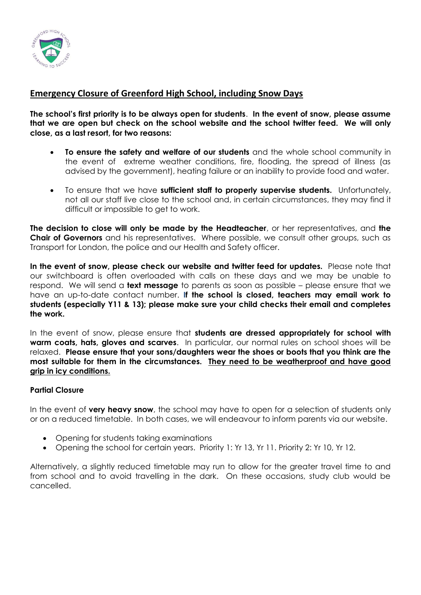

## **Emergency Closure of Greenford High School, including Snow Days**

**The school's first priority is to be always open for students**. **In the event of snow, please assume that we are open but check on the school website and the school twitter feed. We will only close, as a last resort, for two reasons:**

- **To ensure the safety and welfare of our students** and the whole school community in the event of extreme weather conditions, fire, flooding, the spread of illness (as advised by the government), heating failure or an inability to provide food and water.
- To ensure that we have **sufficient staff to properly supervise students.** Unfortunately, not all our staff live close to the school and, in certain circumstances, they may find it difficult or impossible to get to work.

**The decision to close will only be made by the Headteacher**, or her representatives, and **the Chair of Governors** and his representatives. Where possible, we consult other groups, such as Transport for London, the police and our Health and Safety officer.

**In the event of snow, please check our website and twitter feed for updates.** Please note that our switchboard is often overloaded with calls on these days and we may be unable to respond. We will send a **text message** to parents as soon as possible – please ensure that we have an up-to-date contact number. **If the school is closed, teachers may email work to students (especially Y11 & 13); please make sure your child checks their email and completes the work.**

In the event of snow, please ensure that **students are dressed appropriately for school with warm coats, hats, gloves and scarves**. In particular, our normal rules on school shoes will be relaxed. **Please ensure that your sons/daughters wear the shoes or boots that you think are the most suitable for them in the circumstances. They need to be weatherproof and have good grip in icy conditions.**

## **Partial Closure**

In the event of **very heavy snow**, the school may have to open for a selection of students only or on a reduced timetable. In both cases, we will endeavour to inform parents via our website.

- Opening for students taking examinations
- Opening the school for certain years. Priority 1: Yr 13, Yr 11. Priority 2: Yr 10, Yr 12.

Alternatively, a slightly reduced timetable may run to allow for the greater travel time to and from school and to avoid travelling in the dark. On these occasions, study club would be cancelled.